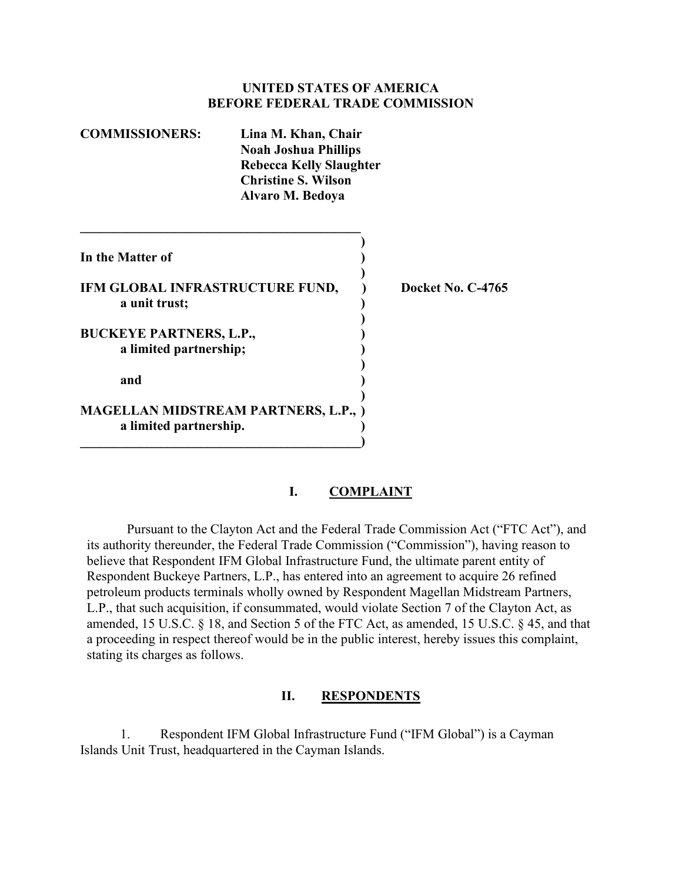#### **UNITED STATES OF AMERICA BEFORE FEDERAL TRADE COMMISSION**

| <b>COMMISSIONERS:</b>                                    | Lina M. Khan, Chair<br><b>Noah Joshua Phillips</b><br><b>Rebecca Kelly Slaughter</b><br><b>Christine S. Wilson</b><br>Alvaro M. Bedoya |                   |
|----------------------------------------------------------|----------------------------------------------------------------------------------------------------------------------------------------|-------------------|
| In the Matter of                                         |                                                                                                                                        |                   |
| IFM GLOBAL INFRASTRUCTURE FUND,<br>a unit trust;         |                                                                                                                                        | Docket No. C-4765 |
| <b>BUCKEYE PARTNERS, L.P.,</b><br>a limited partnership; |                                                                                                                                        |                   |
| and                                                      |                                                                                                                                        |                   |
| a limited partnership.                                   | <b>MAGELLAN MIDSTREAM PARTNERS, L.P., )</b>                                                                                            |                   |

### **I. COMPLAINT**

Pursuant to the Clayton Act and the Federal Trade Commission Act ("FTC Act"), and its authority thereunder, the Federal Trade Commission ("Commission"), having reason to believe that Respondent IFM Global Infrastructure Fund, the ultimate parent entity of Respondent Buckeye Partners, L.P., has entered into an agreement to acquire 26 refined petroleum products terminals wholly owned by Respondent Magellan Midstream Partners, L.P., that such acquisition, if consummated, would violate Section 7 of the Clayton Act, as amended, 15 U.S.C. § 18, and Section 5 of the FTC Act, as amended, 15 U.S.C. § 45, and that a proceeding in respect thereof would be in the public interest, hereby issues this complaint, stating its charges as follows.

#### **II. RESPONDENTS**

1. Respondent IFM Global Infrastructure Fund ("IFM Global") is a Cayman Islands Unit Trust, headquartered in the Cayman Islands.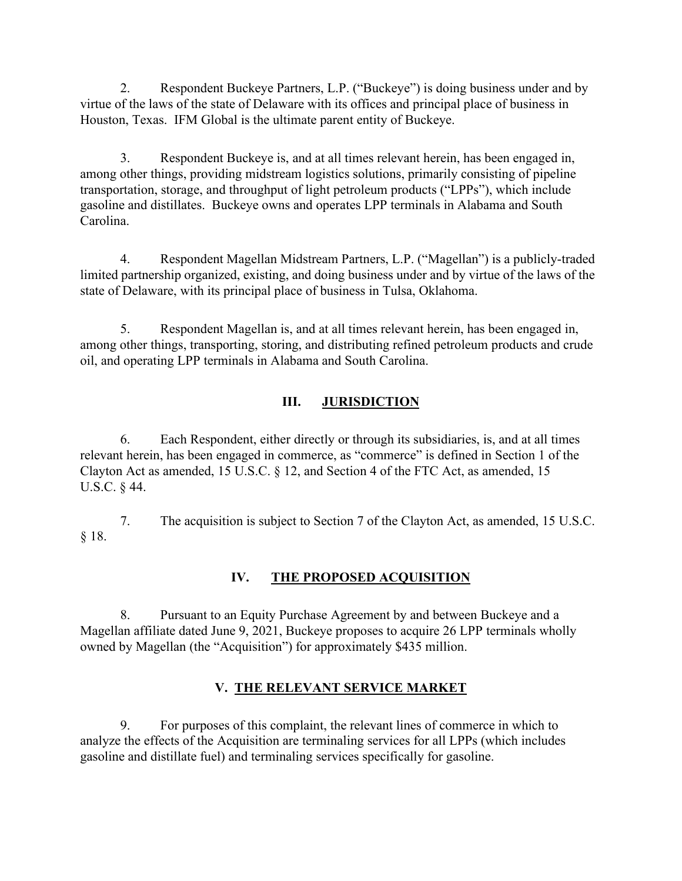2. Respondent Buckeye Partners, L.P. ("Buckeye") is doing business under and by virtue of the laws of the state of Delaware with its offices and principal place of business in Houston, Texas. IFM Global is the ultimate parent entity of Buckeye.

3. Respondent Buckeye is, and at all times relevant herein, has been engaged in, among other things, providing midstream logistics solutions, primarily consisting of pipeline transportation, storage, and throughput of light petroleum products ("LPPs"), which include gasoline and distillates. Buckeye owns and operates LPP terminals in Alabama and South Carolina.

4. Respondent Magellan Midstream Partners, L.P. ("Magellan") is a publicly-traded limited partnership organized, existing, and doing business under and by virtue of the laws of the state of Delaware, with its principal place of business in Tulsa, Oklahoma.

5. Respondent Magellan is, and at all times relevant herein, has been engaged in, among other things, transporting, storing, and distributing refined petroleum products and crude oil, and operating LPP terminals in Alabama and South Carolina.

# **III. JURISDICTION**

6. Each Respondent, either directly or through its subsidiaries, is, and at all times relevant herein, has been engaged in commerce, as "commerce" is defined in Section 1 of the Clayton Act as amended, 15 U.S.C. § 12, and Section 4 of the FTC Act, as amended, 15 U.S.C. § 44.

7. The acquisition is subject to Section 7 of the Clayton Act, as amended, 15 U.S.C. § 18.

# **IV. THE PROPOSED ACQUISITION**

8. Pursuant to an Equity Purchase Agreement by and between Buckeye and a Magellan affiliate dated June 9, 2021, Buckeye proposes to acquire 26 LPP terminals wholly owned by Magellan (the "Acquisition") for approximately \$435 million.

# **V. THE RELEVANT SERVICE MARKET**

9. For purposes of this complaint, the relevant lines of commerce in which to analyze the effects of the Acquisition are terminaling services for all LPPs (which includes gasoline and distillate fuel) and terminaling services specifically for gasoline.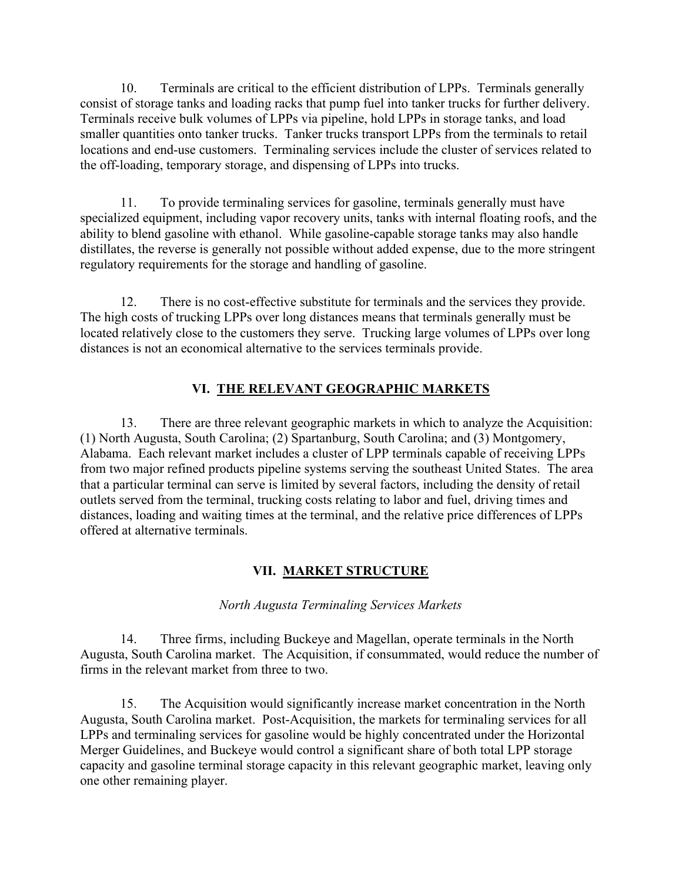10. Terminals are critical to the efficient distribution of LPPs. Terminals generally consist of storage tanks and loading racks that pump fuel into tanker trucks for further delivery. Terminals receive bulk volumes of LPPs via pipeline, hold LPPs in storage tanks, and load smaller quantities onto tanker trucks. Tanker trucks transport LPPs from the terminals to retail locations and end-use customers. Terminaling services include the cluster of services related to the off-loading, temporary storage, and dispensing of LPPs into trucks.

11. To provide terminaling services for gasoline, terminals generally must have specialized equipment, including vapor recovery units, tanks with internal floating roofs, and the ability to blend gasoline with ethanol. While gasoline-capable storage tanks may also handle distillates, the reverse is generally not possible without added expense, due to the more stringent regulatory requirements for the storage and handling of gasoline.

12. There is no cost-effective substitute for terminals and the services they provide. The high costs of trucking LPPs over long distances means that terminals generally must be located relatively close to the customers they serve. Trucking large volumes of LPPs over long distances is not an economical alternative to the services terminals provide.

### **VI. THE RELEVANT GEOGRAPHIC MARKETS**

13. There are three relevant geographic markets in which to analyze the Acquisition: (1) North Augusta, South Carolina; (2) Spartanburg, South Carolina; and (3) Montgomery, Alabama. Each relevant market includes a cluster of LPP terminals capable of receiving LPPs from two major refined products pipeline systems serving the southeast United States. The area that a particular terminal can serve is limited by several factors, including the density of retail outlets served from the terminal, trucking costs relating to labor and fuel, driving times and distances, loading and waiting times at the terminal, and the relative price differences of LPPs offered at alternative terminals.

### **VII. MARKET STRUCTURE**

#### *North Augusta Terminaling Services Markets*

14. Three firms, including Buckeye and Magellan, operate terminals in the North Augusta, South Carolina market. The Acquisition, if consummated, would reduce the number of firms in the relevant market from three to two.

15. The Acquisition would significantly increase market concentration in the North Augusta, South Carolina market. Post-Acquisition, the markets for terminaling services for all LPPs and terminaling services for gasoline would be highly concentrated under the Horizontal Merger Guidelines, and Buckeye would control a significant share of both total LPP storage capacity and gasoline terminal storage capacity in this relevant geographic market, leaving only one other remaining player.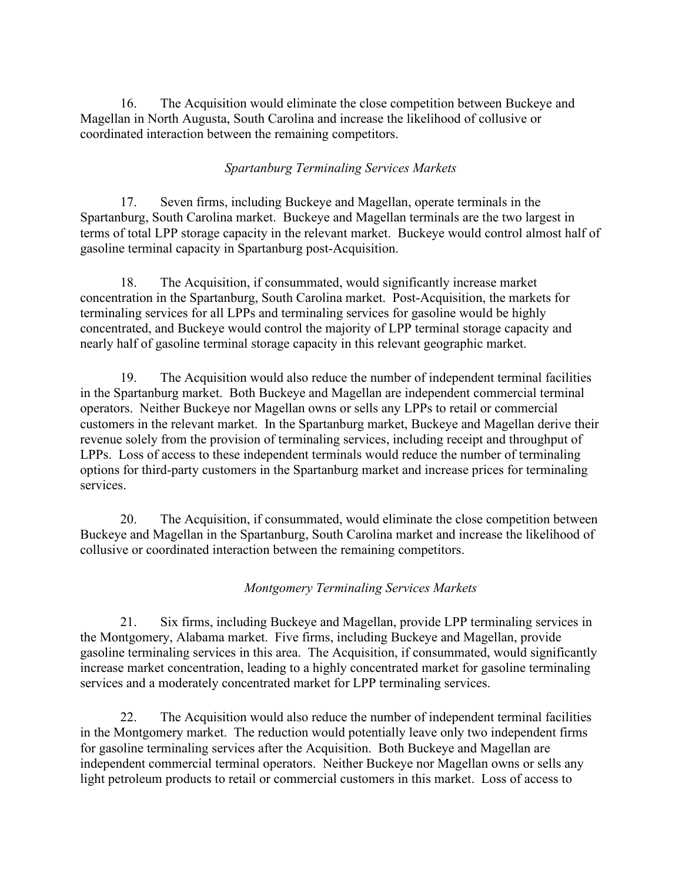16. The Acquisition would eliminate the close competition between Buckeye and Magellan in North Augusta, South Carolina and increase the likelihood of collusive or coordinated interaction between the remaining competitors.

### *Spartanburg Terminaling Services Markets*

17. Seven firms, including Buckeye and Magellan, operate terminals in the Spartanburg, South Carolina market. Buckeye and Magellan terminals are the two largest in terms of total LPP storage capacity in the relevant market. Buckeye would control almost half of gasoline terminal capacity in Spartanburg post-Acquisition.

18. The Acquisition, if consummated, would significantly increase market concentration in the Spartanburg, South Carolina market. Post-Acquisition, the markets for terminaling services for all LPPs and terminaling services for gasoline would be highly concentrated, and Buckeye would control the majority of LPP terminal storage capacity and nearly half of gasoline terminal storage capacity in this relevant geographic market.

19. The Acquisition would also reduce the number of independent terminal facilities in the Spartanburg market. Both Buckeye and Magellan are independent commercial terminal operators. Neither Buckeye nor Magellan owns or sells any LPPs to retail or commercial customers in the relevant market. In the Spartanburg market, Buckeye and Magellan derive their revenue solely from the provision of terminaling services, including receipt and throughput of LPPs. Loss of access to these independent terminals would reduce the number of terminaling options for third-party customers in the Spartanburg market and increase prices for terminaling services.

20. The Acquisition, if consummated, would eliminate the close competition between Buckeye and Magellan in the Spartanburg, South Carolina market and increase the likelihood of collusive or coordinated interaction between the remaining competitors.

### *Montgomery Terminaling Services Markets*

21. Six firms, including Buckeye and Magellan, provide LPP terminaling services in the Montgomery, Alabama market. Five firms, including Buckeye and Magellan, provide gasoline terminaling services in this area. The Acquisition, if consummated, would significantly increase market concentration, leading to a highly concentrated market for gasoline terminaling services and a moderately concentrated market for LPP terminaling services.

22. The Acquisition would also reduce the number of independent terminal facilities in the Montgomery market. The reduction would potentially leave only two independent firms for gasoline terminaling services after the Acquisition. Both Buckeye and Magellan are independent commercial terminal operators. Neither Buckeye nor Magellan owns or sells any light petroleum products to retail or commercial customers in this market. Loss of access to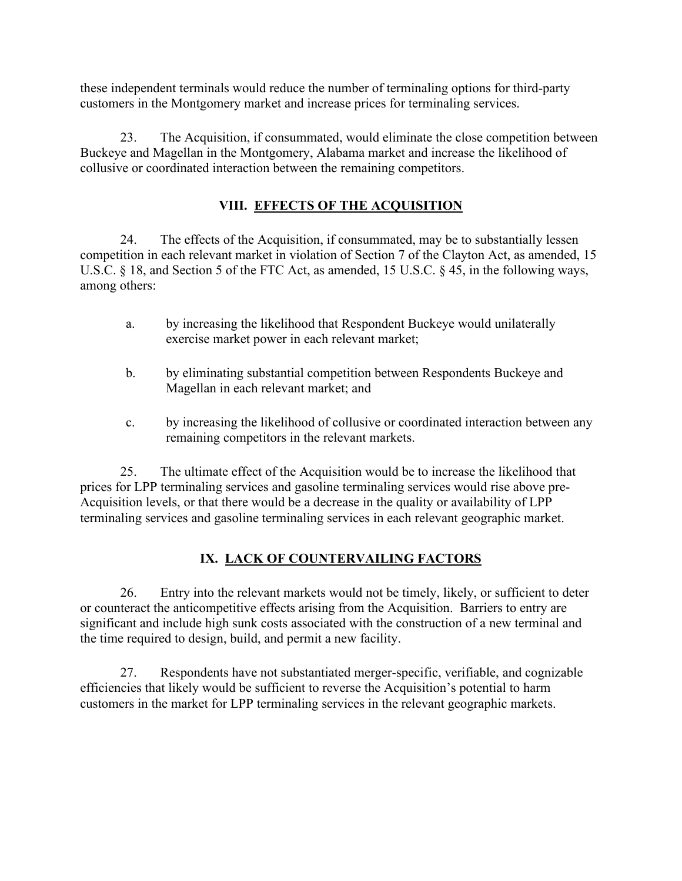these independent terminals would reduce the number of terminaling options for third-party customers in the Montgomery market and increase prices for terminaling services.

23. The Acquisition, if consummated, would eliminate the close competition between Buckeye and Magellan in the Montgomery, Alabama market and increase the likelihood of collusive or coordinated interaction between the remaining competitors.

# **VIII. EFFECTS OF THE ACQUISITION**

24. The effects of the Acquisition, if consummated, may be to substantially lessen competition in each relevant market in violation of Section 7 of the Clayton Act, as amended, 15 U.S.C. § 18, and Section 5 of the FTC Act, as amended, 15 U.S.C. § 45, in the following ways, among others:

- a. by increasing the likelihood that Respondent Buckeye would unilaterally exercise market power in each relevant market;
- b. by eliminating substantial competition between Respondents Buckeye and Magellan in each relevant market; and
- c. by increasing the likelihood of collusive or coordinated interaction between any remaining competitors in the relevant markets.

25. The ultimate effect of the Acquisition would be to increase the likelihood that prices for LPP terminaling services and gasoline terminaling services would rise above pre-Acquisition levels, or that there would be a decrease in the quality or availability of LPP terminaling services and gasoline terminaling services in each relevant geographic market.

# **IX. LACK OF COUNTERVAILING FACTORS**

26. Entry into the relevant markets would not be timely, likely, or sufficient to deter or counteract the anticompetitive effects arising from the Acquisition. Barriers to entry are significant and include high sunk costs associated with the construction of a new terminal and the time required to design, build, and permit a new facility.

27. Respondents have not substantiated merger-specific, verifiable, and cognizable efficiencies that likely would be sufficient to reverse the Acquisition's potential to harm customers in the market for LPP terminaling services in the relevant geographic markets.